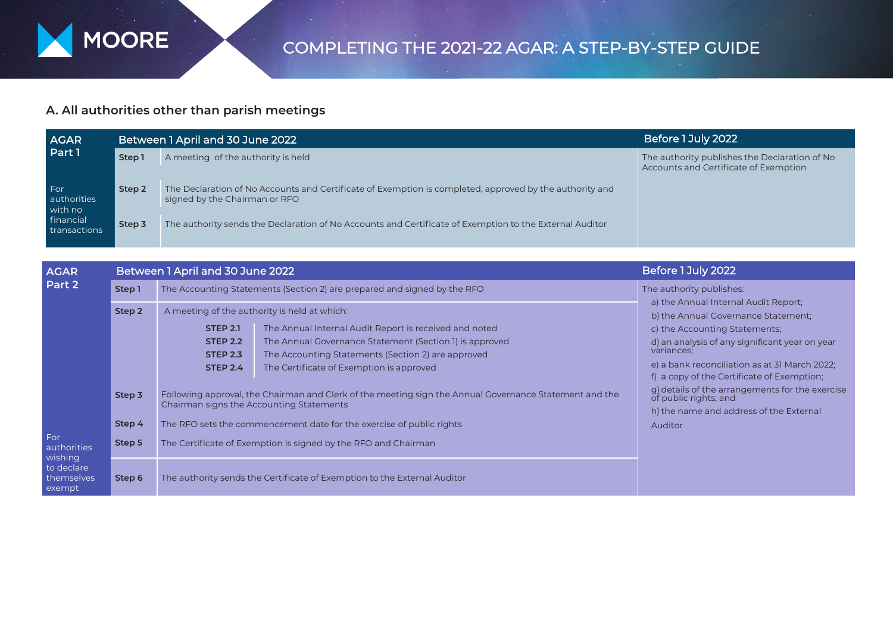

## **A. All authorities other than parish meetings**

| <b>AGAR</b><br>Part 1                                      |        | Between 1 April and 30 June 2022                                                                                                         | Before 1 July 2022                                                                     |  |
|------------------------------------------------------------|--------|------------------------------------------------------------------------------------------------------------------------------------------|----------------------------------------------------------------------------------------|--|
|                                                            | Step 1 | A meeting of the authority is held                                                                                                       | The authority publishes the Declaration of No<br>Accounts and Certificate of Exemption |  |
| For<br>authorities<br>with no<br>financial<br>transactions | Step 2 | The Declaration of No Accounts and Certificate of Exemption is completed, approved by the authority and<br>signed by the Chairman or RFO |                                                                                        |  |
|                                                            | Step 3 | The authority sends the Declaration of No Accounts and Certificate of Exemption to the External Auditor                                  |                                                                                        |  |

| <b>AGAR</b><br>Part 2                                               |        | Between 1 April and 30 June 2022                                                                                                                   | Before 1 July 2022                                                                             |                                                                                                                                                             |
|---------------------------------------------------------------------|--------|----------------------------------------------------------------------------------------------------------------------------------------------------|------------------------------------------------------------------------------------------------|-------------------------------------------------------------------------------------------------------------------------------------------------------------|
|                                                                     | Step 1 |                                                                                                                                                    | The Accounting Statements (Section 2) are prepared and signed by the RFO                       | The authority publishes:<br>a) the Annual Internal Audit Report;<br>b) the Annual Governance Statement;                                                     |
|                                                                     | Step 2 |                                                                                                                                                    | A meeting of the authority is held at which:                                                   |                                                                                                                                                             |
|                                                                     |        | <b>STEP 2.1</b>                                                                                                                                    | The Annual Internal Audit Report is received and noted                                         | c) the Accounting Statements;                                                                                                                               |
| For<br>authorities<br>wishing<br>to declare<br>themselves<br>exempt |        | <b>STEP 2.2</b>                                                                                                                                    | The Annual Governance Statement (Section 1) is approved                                        | d) an analysis of any significant year on year<br>variances;<br>e) a bank reconciliation as at 31 March 2022;<br>f) a copy of the Certificate of Exemption; |
|                                                                     |        | <b>STEP 2.3</b><br><b>STEP 2.4</b>                                                                                                                 | The Accounting Statements (Section 2) are approved<br>The Certificate of Exemption is approved |                                                                                                                                                             |
|                                                                     | Step 3 | Following approval, the Chairman and Clerk of the meeting sign the Annual Governance Statement and the<br>Chairman signs the Accounting Statements |                                                                                                | g) details of the arrangements for the exercise<br>of public rights; and                                                                                    |
|                                                                     | Step 4 |                                                                                                                                                    | The RFO sets the commencement date for the exercise of public rights                           | h) the name and address of the External<br>Auditor                                                                                                          |
|                                                                     | Step 5 |                                                                                                                                                    | The Certificate of Exemption is signed by the RFO and Chairman                                 |                                                                                                                                                             |
|                                                                     | Step 6 | The authority sends the Certificate of Exemption to the External Auditor                                                                           |                                                                                                |                                                                                                                                                             |